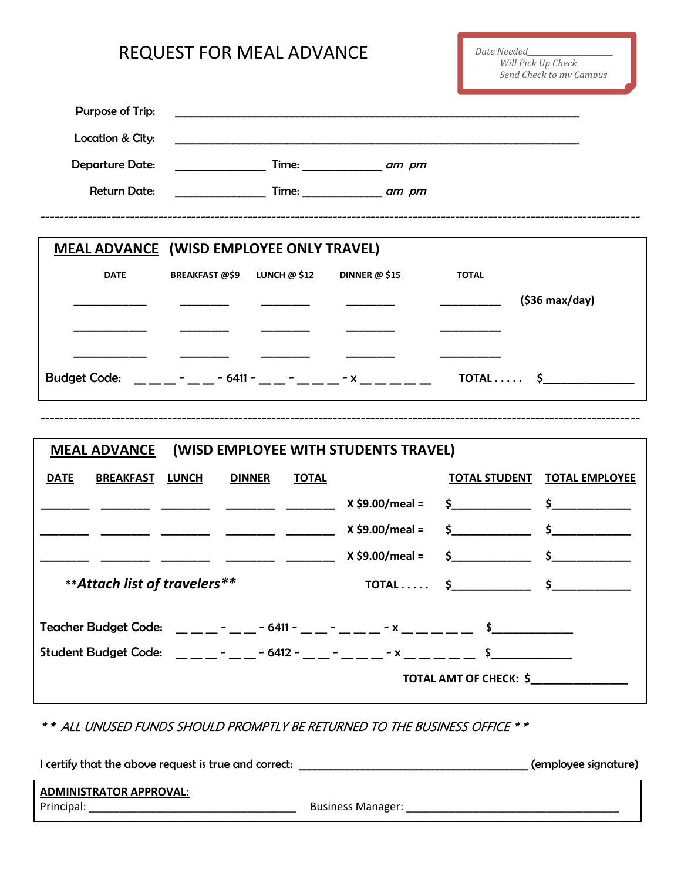## REQUEST FOR MEAL ADVANCE

| Purpose of Trip:                                                                      |                                                 |                |                           |                                               |                       |
|---------------------------------------------------------------------------------------|-------------------------------------------------|----------------|---------------------------|-----------------------------------------------|-----------------------|
| Location & City:                                                                      |                                                 |                |                           |                                               |                       |
| <b>Departure Date:</b>                                                                |                                                 |                | Time: $\frac{1}{2}$ am pm |                                               |                       |
| <b>Return Date:</b>                                                                   |                                                 |                | Time: am pm               |                                               |                       |
|                                                                                       |                                                 |                |                           |                                               |                       |
|                                                                                       | <b>MEAL ADVANCE (WISD EMPLOYEE ONLY TRAVEL)</b> |                |                           |                                               |                       |
| <b>DATE</b>                                                                           | <b>BREAKFAST @\$9</b>                           | LUNCH $@$ \$12 | DINNER $@$ \$15           | <b>TOTAL</b>                                  |                       |
|                                                                                       |                                                 |                |                           |                                               | $(536$ max/day)       |
|                                                                                       |                                                 |                |                           |                                               |                       |
|                                                                                       |                                                 |                |                           |                                               |                       |
| Budget Code: ______ - ____ - 6411 - ___ - ____ - x ______<br>$\mathsf{TOTAL}\dots$ \$ |                                                 |                |                           |                                               |                       |
|                                                                                       |                                                 |                |                           |                                               |                       |
| (WISD EMPLOYEE WITH STUDENTS TRAVEL)<br><b>MEAL ADVANCE</b>                           |                                                 |                |                           |                                               |                       |
| <b>DATE</b><br><b>BREAKFAST</b>                                                       | <b>DINNER</b><br><b>LUNCH</b>                   | <b>TOTAL</b>   |                           | <b>TOTAL STUDENT</b>                          | <b>TOTAL EMPLOYEE</b> |
|                                                                                       |                                                 |                | $X$ \$9.00/meal =         | $\frac{\zeta}{\zeta}$ $\frac{\zeta}{\zeta}$   |                       |
|                                                                                       |                                                 |                | $X $9.00/$ meal =         | $\frac{\zeta}{\zeta}$ , $\frac{\zeta}{\zeta}$ |                       |
|                                                                                       |                                                 |                | $X $9.00/$ meal =         |                                               | $\sharp$              |
| ** Attach list of travelers**                                                         |                                                 |                | $TOTAL$                   | $\frac{1}{2}$                                 | $\mathsf{s}_-$        |
|                                                                                       |                                                 |                |                           |                                               |                       |
| Student Budget Code: _ _ _ _ - _ _ - 6412 - _ _ - _ _ _ - x _ _ _ _ _ \$________      |                                                 |                |                           |                                               |                       |
| TOTAL AMT OF CHECK: \$                                                                |                                                 |                |                           |                                               |                       |

\* \* ALL UNUSED FUNDS SHOULD PROMPTLY BE RETURNED TO THE BUSINESS OFFICE \* \*

I certify that the above request is true and correct: \_\_\_\_\_\_\_\_\_\_\_\_\_\_\_\_\_\_\_\_\_\_\_\_\_\_\_\_\_\_\_\_\_\_\_\_\_\_\_\_\_\_\_ (employee signature) **ADMINISTRATOR APPROVAL:** Principal: \_\_\_\_\_\_\_\_\_\_\_\_\_\_\_\_\_\_\_\_\_\_\_\_\_\_\_\_\_\_\_\_\_\_ Business Manager: \_\_\_\_\_\_\_\_\_\_\_\_\_\_\_\_\_\_\_\_\_\_\_\_\_\_\_\_\_\_\_\_\_\_\_